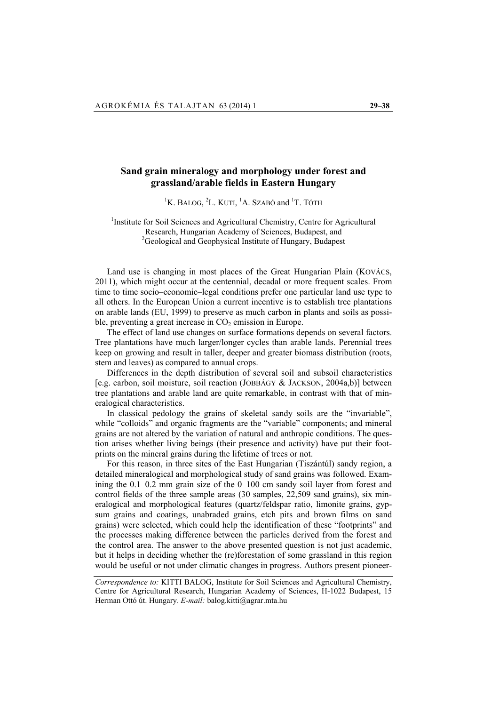# **Sand grain mineralogy and morphology under forest and grassland/arable fields in Eastern Hungary**

<sup>1</sup>K. BALOG, <sup>2</sup>L. KUTI, <sup>1</sup>A. SZABÓ and <sup>1</sup>T. TÓTH

## <sup>1</sup>Institute for Soil Sciences and Agricultural Chemistry, Centre for Agricultural Research, Hungarian Academy of Sciences, Budapest, and <sup>2</sup>Geological and Geophysical Institute of Hungary, Budapest

Land use is changing in most places of the Great Hungarian Plain (KOVÁCS, 2011), which might occur at the centennial, decadal or more frequent scales. From time to time socio–economic–legal conditions prefer one particular land use type to all others. In the European Union a current incentive is to establish tree plantations on arable lands (EU, 1999) to preserve as much carbon in plants and soils as possible, preventing a great increase in  $CO<sub>2</sub>$  emission in Europe.

The effect of land use changes on surface formations depends on several factors. Tree plantations have much larger/longer cycles than arable lands. Perennial trees keep on growing and result in taller, deeper and greater biomass distribution (roots, stem and leaves) as compared to annual crops.

Differences in the depth distribution of several soil and subsoil characteristics [e.g. carbon, soil moisture, soil reaction (JOBBÁGY & JACKSON, 2004a,b)] between tree plantations and arable land are quite remarkable, in contrast with that of mineralogical characteristics.

In classical pedology the grains of skeletal sandy soils are the "invariable", while "colloids" and organic fragments are the "variable" components; and mineral grains are not altered by the variation of natural and anthropic conditions. The question arises whether living beings (their presence and activity) have put their footprints on the mineral grains during the lifetime of trees or not.

For this reason, in three sites of the East Hungarian (Tiszántúl) sandy region, a detailed mineralogical and morphological study of sand grains was followed. Examining the 0.1–0.2 mm grain size of the 0–100 cm sandy soil layer from forest and control fields of the three sample areas (30 samples, 22,509 sand grains), six mineralogical and morphological features (quartz/feldspar ratio, limonite grains, gypsum grains and coatings, unabraded grains, etch pits and brown films on sand grains) were selected, which could help the identification of these "footprints" and the processes making difference between the particles derived from the forest and the control area. The answer to the above presented question is not just academic, but it helps in deciding whether the (re)forestation of some grassland in this region would be useful or not under climatic changes in progress. Authors present pioneer-

*Correspondence to:* KITTI BALOG, Institute for Soil Sciences and Agricultural Chemistry, Centre for Agricultural Research, Hungarian Academy of Sciences, H-1022 Budapest, 15 Herman Ottó út. Hungary. *E-mail:* balog.kitti@agrar.mta.hu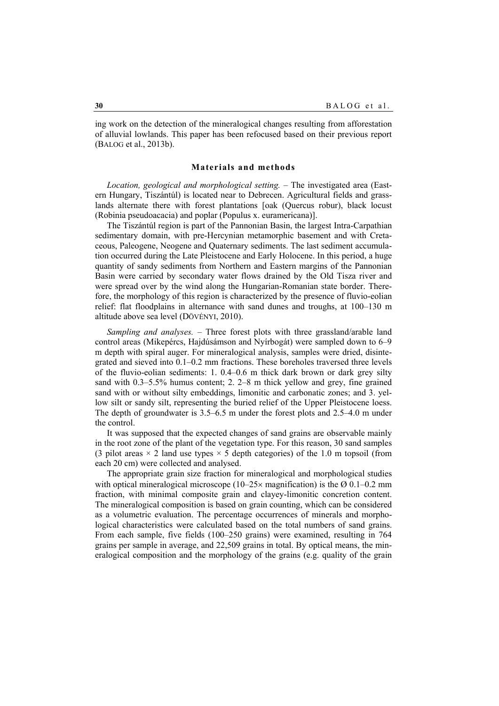ing work on the detection of the mineralogical changes resulting from afforestation of alluvial lowlands. This paper has been refocused based on their previous report (BALOG et al., 2013b).

## **Materials and methods**

*Location, geological and morphological setting. –* The investigated area (Eastern Hungary, Tiszántúl) is located near to Debrecen. Agricultural fields and grasslands alternate there with forest plantations [oak (Quercus robur), black locust (Robinia pseudoacacia) and poplar (Populus x. euramericana)].

The Tiszántúl region is part of the Pannonian Basin, the largest Intra-Carpathian sedimentary domain, with pre-Hercynian metamorphic basement and with Cretaceous, Paleogene, Neogene and Quaternary sediments. The last sediment accumulation occurred during the Late Pleistocene and Early Holocene. In this period, a huge quantity of sandy sediments from Northern and Eastern margins of the Pannonian Basin were carried by secondary water flows drained by the Old Tisza river and were spread over by the wind along the Hungarian-Romanian state border. Therefore, the morphology of this region is characterized by the presence of fluvio-eolian relief: flat floodplains in alternance with sand dunes and troughs, at 100–130 m altitude above sea level (DÖVÉNYI, 2010).

*Sampling and analyses. –* Three forest plots with three grassland/arable land control areas (Mikepércs, Hajdúsámson and Nyírbogát) were sampled down to 6–9 m depth with spiral auger. For mineralogical analysis, samples were dried, disintegrated and sieved into 0.1–0.2 mm fractions. These boreholes traversed three levels of the fluvio-eolian sediments: 1. 0.4–0.6 m thick dark brown or dark grey silty sand with 0.3–5.5% humus content; 2. 2–8 m thick yellow and grey, fine grained sand with or without silty embeddings, limonitic and carbonatic zones; and 3. yellow silt or sandy silt, representing the buried relief of the Upper Pleistocene loess. The depth of groundwater is 3.5–6.5 m under the forest plots and 2.5–4.0 m under the control.

It was supposed that the expected changes of sand grains are observable mainly in the root zone of the plant of the vegetation type. For this reason, 30 sand samples (3 pilot areas  $\times$  2 land use types  $\times$  5 depth categories) of the 1.0 m topsoil (from each 20 cm) were collected and analysed.

The appropriate grain size fraction for mineralogical and morphological studies with optical mineralogical microscope (10–25 $\times$  magnification) is the Ø 0.1–0.2 mm fraction, with minimal composite grain and clayey-limonitic concretion content. The mineralogical composition is based on grain counting, which can be considered as a volumetric evaluation. The percentage occurrences of minerals and morphological characteristics were calculated based on the total numbers of sand grains. From each sample, five fields (100–250 grains) were examined, resulting in 764 grains per sample in average, and 22,509 grains in total. By optical means, the mineralogical composition and the morphology of the grains (e.g. quality of the grain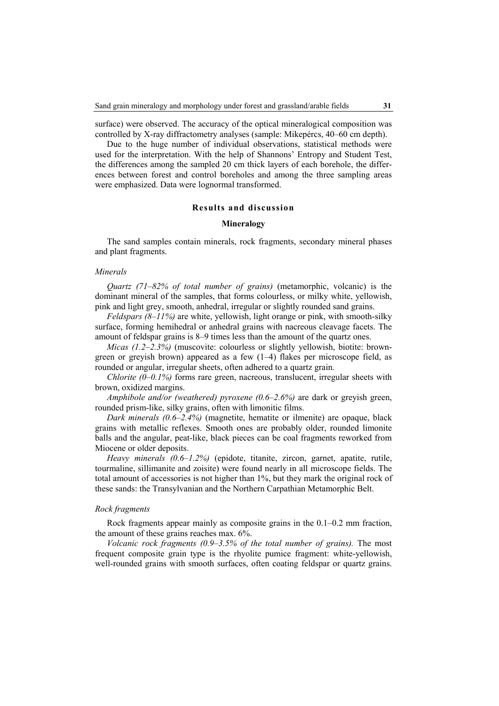surface) were observed. The accuracy of the optical mineralogical composition was controlled by X-ray diffractometry analyses (sample: Mikepércs, 40–60 cm depth).

Due to the huge number of individual observations, statistical methods were used for the interpretation. With the help of Shannons' Entropy and Student Test, the differences among the sampled 20 cm thick layers of each borehole, the differences between forest and control boreholes and among the three sampling areas were emphasized. Data were lognormal transformed.

### **Results and discussion**

#### **Mineralogy**

The sand samples contain minerals, rock fragments, secondary mineral phases and plant fragments.

### *Minerals*

*Quartz (71–82% of total number of grains)* (metamorphic, volcanic) is the dominant mineral of the samples, that forms colourless, or milky white, yellowish, pink and light grey, smooth, anhedral, irregular or slightly rounded sand grains.

*Feldspars (8–11%)* are white, yellowish, light orange or pink, with smooth-silky surface, forming hemihedral or anhedral grains with nacreous cleavage facets. The amount of feldspar grains is 8–9 times less than the amount of the quartz ones.

*Micas (1.2–2.3%)* (muscovite: colourless or slightly yellowish, biotite: browngreen or greyish brown) appeared as a few (1–4) flakes per microscope field, as rounded or angular, irregular sheets, often adhered to a quartz grain.

*Chlorite (0–0.1%)* forms rare green, nacreous, translucent, irregular sheets with brown, oxidized margins.

*Amphibole and/or (weathered) pyroxene (0.6–2.6%)* are dark or greyish green, rounded prism-like, silky grains, often with limonitic films.

*Dark minerals (0.6–2.4%)* (magnetite, hematite or ilmenite) are opaque, black grains with metallic reflexes. Smooth ones are probably older, rounded limonite balls and the angular, peat-like, black pieces can be coal fragments reworked from Miocene or older deposits.

*Heavy minerals (0.6–1.2%)* (epidote, titanite, zircon, garnet, apatite, rutile, tourmaline, sillimanite and zoisite) were found nearly in all microscope fields. The total amount of accessories is not higher than 1%, but they mark the original rock of these sands: the Transylvanian and the Northern Carpathian Metamorphic Belt.

## *Rock fragments*

Rock fragments appear mainly as composite grains in the 0.1–0.2 mm fraction, the amount of these grains reaches max. 6%.

*Volcanic rock fragments (0.9–3.5% of the total number of grains).* The most frequent composite grain type is the rhyolite pumice fragment: white-yellowish, well-rounded grains with smooth surfaces, often coating feldspar or quartz grains.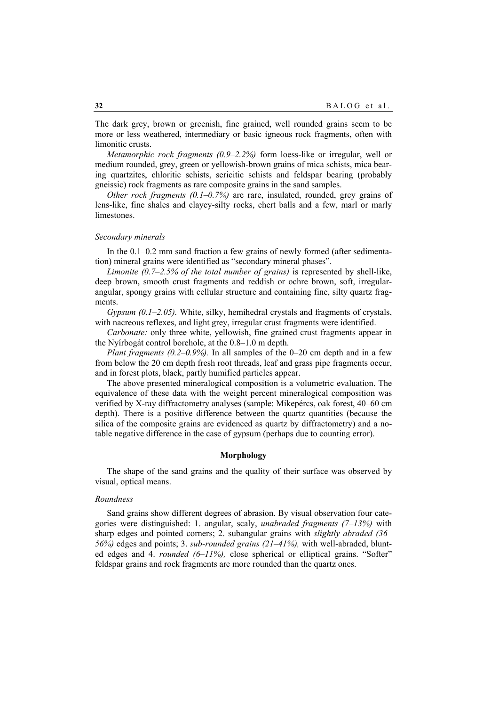The dark grey, brown or greenish, fine grained, well rounded grains seem to be more or less weathered, intermediary or basic igneous rock fragments, often with limonitic crusts.

*Metamorphic rock fragments (0.9–2.2%)* form loess-like or irregular, well or medium rounded, grey, green or yellowish-brown grains of mica schists, mica bearing quartzites, chloritic schists, sericitic schists and feldspar bearing (probably gneissic) rock fragments as rare composite grains in the sand samples.

*Other rock fragments (0.1–0.7%)* are rare, insulated, rounded, grey grains of lens-like, fine shales and clayey-silty rocks, chert balls and a few, marl or marly limestones.

#### *Secondary minerals*

In the 0.1–0.2 mm sand fraction a few grains of newly formed (after sedimentation) mineral grains were identified as "secondary mineral phases".

*Limonite (0.7–2.5% of the total number of grains)* is represented by shell-like, deep brown, smooth crust fragments and reddish or ochre brown, soft, irregularangular, spongy grains with cellular structure and containing fine, silty quartz fragments.

*Gypsum (0.1–2.05).* White, silky, hemihedral crystals and fragments of crystals, with nacreous reflexes, and light grey, irregular crust fragments were identified.

*Carbonate:* only three white, yellowish, fine grained crust fragments appear in the Nyírbogát control borehole, at the 0.8–1.0 m depth.

*Plant fragments (0.2–0.9%).* In all samples of the 0–20 cm depth and in a few from below the 20 cm depth fresh root threads, leaf and grass pipe fragments occur, and in forest plots, black, partly humified particles appear.

The above presented mineralogical composition is a volumetric evaluation. The equivalence of these data with the weight percent mineralogical composition was verified by X-ray diffractometry analyses (sample: Mikepércs, oak forest, 40–60 cm depth). There is a positive difference between the quartz quantities (because the silica of the composite grains are evidenced as quartz by diffractometry) and a notable negative difference in the case of gypsum (perhaps due to counting error).

## **Morphology**

The shape of the sand grains and the quality of their surface was observed by visual, optical means.

### *Roundness*

Sand grains show different degrees of abrasion. By visual observation four categories were distinguished: 1. angular, scaly, *unabraded fragments (7–13%)* with sharp edges and pointed corners; 2. subangular grains with *slightly abraded (36– 56%)* edges and points; 3. *sub-rounded grains (21–41%),* with well-abraded, blunted edges and 4. *rounded (6–11%),* close spherical or elliptical grains. "Softer" feldspar grains and rock fragments are more rounded than the quartz ones.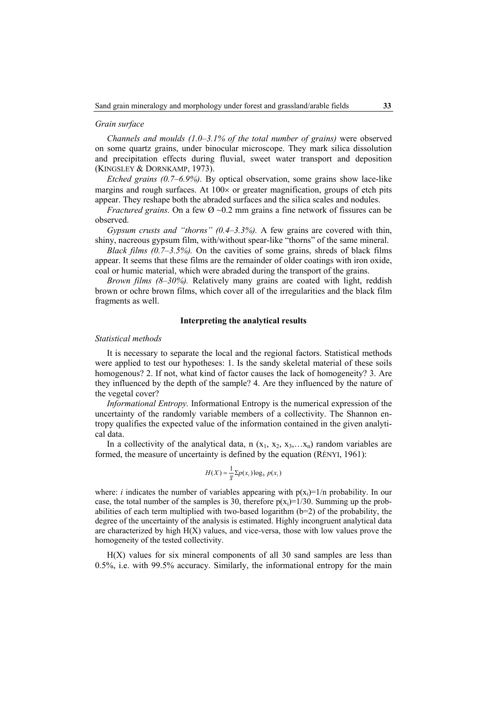#### *Grain surface*

*Channels and moulds (1.0–3.1% of the total number of grains)* were observed on some quartz grains, under binocular microscope. They mark silica dissolution and precipitation effects during fluvial, sweet water transport and deposition (KINGSLEY & DORNKAMP, 1973).

*Etched grains (0.7–6.9%).* By optical observation, some grains show lace-like margins and rough surfaces. At  $100 \times$  or greater magnification, groups of etch pits appear. They reshape both the abraded surfaces and the silica scales and nodules.

*Fractured grains.* On a few  $\varnothing \sim 0.2$  mm grains a fine network of fissures can be observed.

*Gypsum crusts and "thorns" (0.4–3.3%).* A few grains are covered with thin, shiny, nacreous gypsum film, with/without spear-like "thorns" of the same mineral.

*Black films (0.7–3.5%).* On the cavities of some grains, shreds of black films appear. It seems that these films are the remainder of older coatings with iron oxide, coal or humic material, which were abraded during the transport of the grains.

*Brown films (8–30%).* Relatively many grains are coated with light, reddish brown or ochre brown films, which cover all of the irregularities and the black film fragments as well.

## **Interpreting the analytical results**

#### *Statistical methods*

It is necessary to separate the local and the regional factors. Statistical methods were applied to test our hypotheses: 1. Is the sandy skeletal material of these soils homogenous? 2. If not, what kind of factor causes the lack of homogeneity? 3. Are they influenced by the depth of the sample? 4. Are they influenced by the nature of the vegetal cover?

*Informational Entropy.* Informational Entropy is the numerical expression of the uncertainty of the randomly variable members of a collectivity. The Shannon entropy qualifies the expected value of the information contained in the given analytical data.

In a collectivity of the analytical data, n  $(x_1, x_2, x_3, \ldots, x_n)$  random variables are formed, the measure of uncertainty is defined by the equation (RÉNYI, 1961):

$$
H(X) = \frac{1}{\overline{x}} \sum p(x_i) \log_b p(x_i)
$$

where: *i* indicates the number of variables appearing with  $p(x_i)=1/n$  probability. In our case, the total number of the samples is 30, therefore  $p(x_i)=1/30$ . Summing up the probabilities of each term multiplied with two-based logarithm  $(b=2)$  of the probability, the degree of the uncertainty of the analysis is estimated. Highly incongruent analytical data are characterized by high  $H(X)$  values, and vice-versa, those with low values prove the homogeneity of the tested collectivity.

 $H(X)$  values for six mineral components of all 30 sand samples are less than 0.5%, i.e. with 99.5% accuracy. Similarly, the informational entropy for the main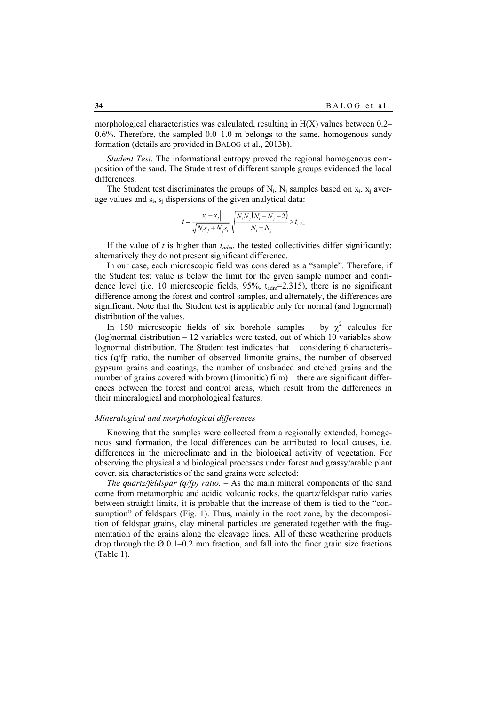morphological characteristics was calculated, resulting in  $H(X)$  values between 0.2– 0.6%. Therefore, the sampled 0.0–1.0 m belongs to the same, homogenous sandy formation (details are provided in BALOG et al., 2013b).

*Student Test.* The informational entropy proved the regional homogenous composition of the sand. The Student test of different sample groups evidenced the local differences.

The Student test discriminates the groups of  $N_i$ ,  $N_i$  samples based on  $x_i$ ,  $x_i$  average values and  $s_i$ ,  $s_i$  dispersions of the given analytical data:

$$
t = \frac{\left|x_i - x_j\right|}{\sqrt{N_i s_j + N_j s_i}} \sqrt{\frac{N_i N_j \left(N_i + N_j - 2\right)}{N_i + N_j}} > t_{adm}
$$

If the value of  $t$  is higher than  $t_{adm}$ , the tested collectivities differ significantly; alternatively they do not present significant difference.

In our case, each microscopic field was considered as a "sample". Therefore, if the Student test value is below the limit for the given sample number and confidence level (i.e. 10 microscopic fields,  $95\%$ ,  $t_{\text{adm}}=2.315$ ), there is no significant difference among the forest and control samples, and alternately, the differences are significant. Note that the Student test is applicable only for normal (and lognormal) distribution of the values.

In 150 microscopic fields of six borehole samples – by  $\chi^2$  calculus for (log)normal distribution – 12 variables were tested, out of which 10 variables show lognormal distribution. The Student test indicates that – considering 6 characteristics (q/fp ratio, the number of observed limonite grains, the number of observed gypsum grains and coatings, the number of unabraded and etched grains and the number of grains covered with brown (limonitic) film) – there are significant differences between the forest and control areas, which result from the differences in their mineralogical and morphological features.

### *Mineralogical and morphological differences*

Knowing that the samples were collected from a regionally extended, homogenous sand formation, the local differences can be attributed to local causes, i.e. differences in the microclimate and in the biological activity of vegetation. For observing the physical and biological processes under forest and grassy/arable plant cover, six characteristics of the sand grains were selected:

*The quartz/feldspar (q/fp) ratio.* – As the main mineral components of the sand come from metamorphic and acidic volcanic rocks, the quartz/feldspar ratio varies between straight limits, it is probable that the increase of them is tied to the "consumption" of feldspars (Fig. 1). Thus, mainly in the root zone, by the decomposition of feldspar grains, clay mineral particles are generated together with the fragmentation of the grains along the cleavage lines. All of these weathering products drop through the  $\varnothing$  0.1–0.2 mm fraction, and fall into the finer grain size fractions (Table 1).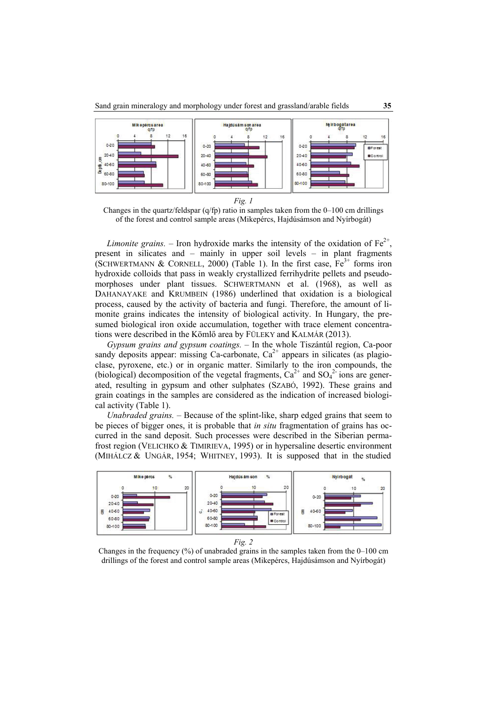

*Fig. 1* 

Changes in the quartz/feldspar  $(q/fp)$  ratio in samples taken from the 0–100 cm drillings of the forest and control sample areas (Mikepércs, Hajdúsámson and Nyírbogát)

*Limonite grains.* – Iron hydroxide marks the intensity of the oxidation of  $Fe^{2+}$ present in silicates and – mainly in upper soil levels – in plant fragments (SCHWERTMANN & CORNELL, 2000) (Table 1). In the first case,  $Fe^{3+}$  forms iron hydroxide colloids that pass in weakly crystallized ferrihydrite pellets and pseudomorphoses under plant tissues. SCHWERTMANN et al. (1968), as well as DAHANAYAKE and KRUMBEIN (1986) underlined that oxidation is a biological process, caused by the activity of bacteria and fungi. Therefore, the amount of limonite grains indicates the intensity of biological activity. In Hungary, the presumed biological iron oxide accumulation, together with trace element concentrations were described in the Kömlő area by FÜLEKY and KALMÁR (2013).

*Gypsum grains and gypsum coatings.* – In the whole Tiszántúl region, Ca-poor sandy deposits appear: missing Ca-carbonate,  $Ca^{2+}$  appears in silicates (as plagioclase, pyroxene, etc.) or in organic matter. Similarly to the iron compounds, the (biological) decomposition of the vegetal fragments,  $Ca^{2+}$  and  $SO_4^2$  ions are generated, resulting in gypsum and other sulphates (SZABÓ, 1992). These grains and grain coatings in the samples are considered as the indication of increased biological activity (Table 1).

*Unabraded grains.* – Because of the splint-like, sharp edged grains that seem to be pieces of bigger ones, it is probable that *in situ* fragmentation of grains has occurred in the sand deposit. Such processes were described in the Siberian permafrost region (VELICHKO & TIMIRIEVA, 1995) or in hypersaline desertic environment (MIHÁLCZ & UNGÁR, 1954; WHITNEY, 1993). It is supposed that in the studied



*Fig. 2* 

Changes in the frequency  $(\%)$  of unabraded grains in the samples taken from the 0–100 cm drillings of the forest and control sample areas (Mikepércs, Hajdúsámson and Nyírbogát)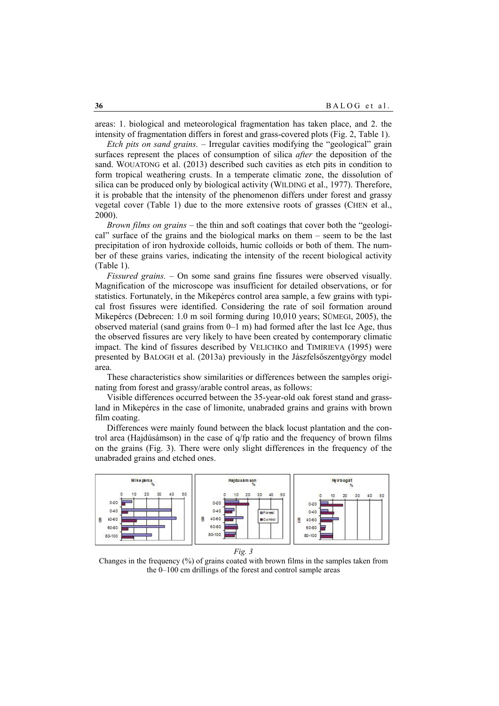areas: 1. biological and meteorological fragmentation has taken place, and 2. the intensity of fragmentation differs in forest and grass-covered plots (Fig. 2, Table 1).

*Etch pits on sand grains.* – Irregular cavities modifying the "geological" grain surfaces represent the places of consumption of silica *after* the deposition of the sand. WOUATONG et al. (2013) described such cavities as etch pits in condition to form tropical weathering crusts. In a temperate climatic zone, the dissolution of silica can be produced only by biological activity (WILDING et al., 1977). Therefore, it is probable that the intensity of the phenomenon differs under forest and grassy vegetal cover (Table 1) due to the more extensive roots of grasses (CHEN et al., 2000).

*Brown films on grains* – the thin and soft coatings that cover both the "geological" surface of the grains and the biological marks on them – seem to be the last precipitation of iron hydroxide colloids, humic colloids or both of them. The number of these grains varies, indicating the intensity of the recent biological activity (Table 1).

*Fissured grains.* – On some sand grains fine fissures were observed visually. Magnification of the microscope was insufficient for detailed observations, or for statistics. Fortunately, in the Mikepércs control area sample, a few grains with typical frost fissures were identified. Considering the rate of soil formation around Mikepércs (Debrecen: 1.0 m soil forming during 10,010 years; SÜMEGI, 2005), the observed material (sand grains from  $0-1$  m) had formed after the last Ice Age, thus the observed fissures are very likely to have been created by contemporary climatic impact. The kind of fissures described by VELICHKO and TIMIRIEVA (1995) were presented by BALOGH et al. (2013a) previously in the Jászfelsőszentgyörgy model area.

These characteristics show similarities or differences between the samples originating from forest and grassy/arable control areas, as follows:

Visible differences occurred between the 35-year-old oak forest stand and grassland in Mikepércs in the case of limonite, unabraded grains and grains with brown film coating.

Differences were mainly found between the black locust plantation and the control area (Hajdúsámson) in the case of q/fp ratio and the frequency of brown films on the grains (Fig. 3). There were only slight differences in the frequency of the unabraded grains and etched ones.



*Fig. 3* 

Changes in the frequency (%) of grains coated with brown films in the samples taken from the 0–100 cm drillings of the forest and control sample areas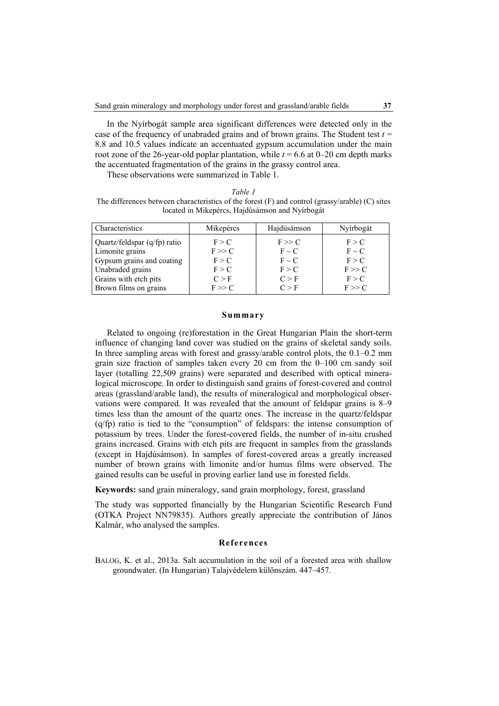In the Nyírbogát sample area significant differences were detected only in the case of the frequency of unabraded grains and of brown grains. The Student test  $t =$ 8.8 and 10.5 values indicate an accentuated gypsum accumulation under the main root zone of the 26-year-old poplar plantation, while  $t = 6.6$  at 0–20 cm depth marks the accentuated fragmentation of the grains in the grassy control area.

These observations were summarized in Table 1.

| Table |
|-------|
|-------|

The differences between characteristics of the forest (F) and control (grassy/arable) (C) sites located in Mikepércs, Hajdúsámson and Nyírbogát

| Characteristics              | Mikepércs | Hajdúsámson | Nyírbogát  |
|------------------------------|-----------|-------------|------------|
| Quartz/feldspar (q/fp) ratio | F > C     | F >> C      | F > C      |
| Limonite grains              | $F \gg C$ | $F \sim C$  | $F \sim C$ |
| Gypsum grains and coating    | F > C     | $F \sim C$  | F > C      |
| Unabraded grains             | F > C     | F > C       | F >> C     |
| Grains with etch pits        | C > F     | C > F       | F > C      |
| Brown films on grains        | $F \gg C$ | C > F       | $F \gg C$  |

### **Summary**

Related to ongoing (re)forestation in the Great Hungarian Plain the short-term influence of changing land cover was studied on the grains of skeletal sandy soils. In three sampling areas with forest and grassy/arable control plots, the 0.1–0.2 mm grain size fraction of samples taken every 20 cm from the 0–100 cm sandy soil layer (totalling 22,509 grains) were separated and described with optical mineralogical microscope. In order to distinguish sand grains of forest-covered and control areas (grassland/arable land), the results of mineralogical and morphological observations were compared. It was revealed that the amount of feldspar grains is 8–9 times less than the amount of the quartz ones. The increase in the quartz/feldspar (q/fp) ratio is tied to the "consumption" of feldspars: the intense consumption of potassium by trees. Under the forest-covered fields, the number of in-situ crushed grains increased. Grains with etch pits are frequent in samples from the grasslands (except in Hajdúsámson). In samples of forest-covered areas a greatly increased number of brown grains with limonite and/or humus films were observed. The gained results can be useful in proving earlier land use in forested fields.

**Keywords:** sand grain mineralogy, sand grain morphology, forest, grassland

The study was supported financially by the Hungarian Scientific Research Fund (OTKA Project NN79835). Authors greatly appreciate the contribution of János Kalmár, who analysed the samples.

### **References**

BALOG, K. et al., 2013a. Salt accumulation in the soil of a forested area with shallow groundwater. (In Hungarian) Talajvédelem különszám. 447–457.